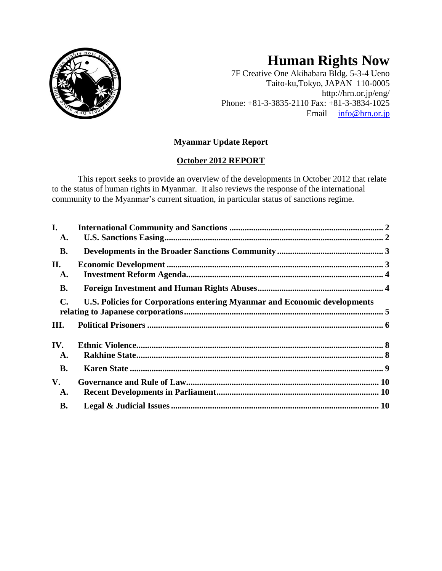

# **Human Rights Now**

7F Creative One Akihabara Bldg. 5-3-4 Ueno Taito-ku,Tokyo, JAPAN 110-0005 http://hrn.or.jp/eng/ Phone: +81-3-3835-2110 Fax: +81-3-3834-1025 Email [info@hrn.or.jp](mailto:info@hrn.or.jp)

# **Myanmar Update Report**

# **October 2012 REPORT**

This report seeks to provide an overview of the developments in October 2012 that relate to the status of human rights in Myanmar. It also reviews the response of the international community to the Myanmar's current situation, in particular status of sanctions regime.

| I.<br>A.       |                                                                           |  |
|----------------|---------------------------------------------------------------------------|--|
| <b>B.</b>      |                                                                           |  |
| II.<br>A.      |                                                                           |  |
| <b>B.</b>      |                                                                           |  |
| $\mathbf{C}$ . | U.S. Policies for Corporations entering Myanmar and Economic developments |  |
| III.           |                                                                           |  |
| IV.<br>A.      |                                                                           |  |
| <b>B.</b>      |                                                                           |  |
| V.<br>A.       |                                                                           |  |
| <b>B.</b>      |                                                                           |  |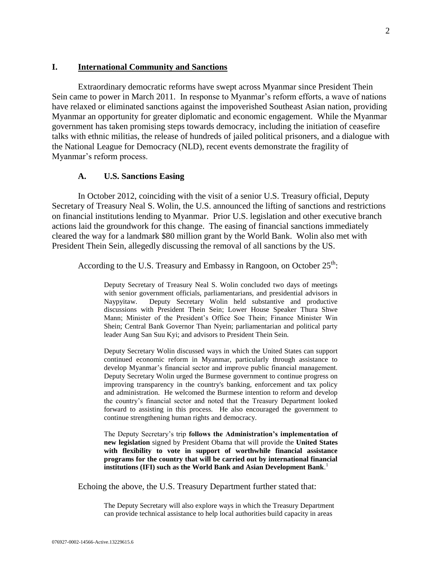#### <span id="page-1-0"></span>**I. International Community and Sanctions**

Extraordinary democratic reforms have swept across Myanmar since President Thein Sein came to power in March 2011. In response to Myanmar's reform efforts, a wave of nations have relaxed or eliminated sanctions against the impoverished Southeast Asian nation, providing Myanmar an opportunity for greater diplomatic and economic engagement. While the Myanmar government has taken promising steps towards democracy, including the initiation of ceasefire talks with ethnic militias, the release of hundreds of jailed political prisoners, and a dialogue with the National League for Democracy (NLD), recent events demonstrate the fragility of Myanmar's reform process.

#### **A. U.S. Sanctions Easing**

<span id="page-1-1"></span>In October 2012, coinciding with the visit of a senior U.S. Treasury official, Deputy Secretary of Treasury Neal S. Wolin, the U.S. announced the lifting of sanctions and restrictions on financial institutions lending to Myanmar. Prior U.S. legislation and other executive branch actions laid the groundwork for this change. The easing of financial sanctions immediately cleared the way for a landmark \$80 million grant by the World Bank. Wolin also met with President Thein Sein, allegedly discussing the removal of all sanctions by the US.

According to the U.S. Treasury and Embassy in Rangoon, on October  $25<sup>th</sup>$ :

Deputy Secretary of Treasury Neal S. Wolin concluded two days of meetings with senior government officials, parliamentarians, and presidential advisors in Naypyitaw. Deputy Secretary Wolin held substantive and productive discussions with President Thein Sein; Lower House Speaker Thura Shwe Mann; Minister of the President's Office Soe Thein; Finance Minister Win Shein; Central Bank Governor Than Nyein; parliamentarian and political party leader Aung San Suu Kyi; and advisors to President Thein Sein.

Deputy Secretary Wolin discussed ways in which the United States can support continued economic reform in Myanmar, particularly through assistance to develop Myanmar's financial sector and improve public financial management. Deputy Secretary Wolin urged the Burmese government to continue progress on improving transparency in the country's banking, enforcement and tax policy and administration. He welcomed the Burmese intention to reform and develop the country's financial sector and noted that the Treasury Department looked forward to assisting in this process. He also encouraged the government to continue strengthening human rights and democracy.

The Deputy Secretary's trip **follows the Administration's implementation of new legislation** signed by President Obama that will provide the **United States with flexibility to vote in support of worthwhile financial assistance programs for the country that will be carried out by international financial institutions (IFI) such as the World Bank and Asian Development Bank**. 1

Echoing the above, the U.S. Treasury Department further stated that:

The Deputy Secretary will also explore ways in which the Treasury Department can provide technical assistance to help local authorities build capacity in areas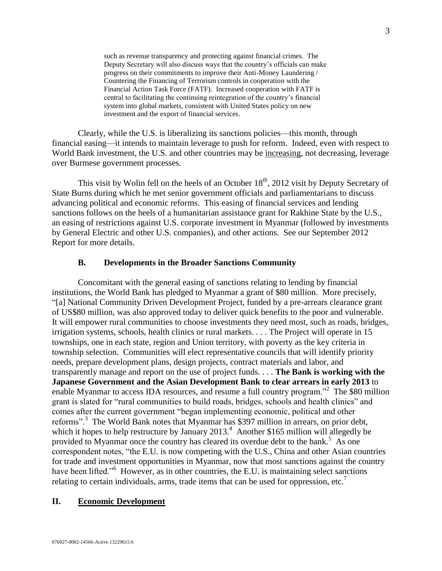such as revenue transparency and protecting against financial crimes. The Deputy Secretary will also discuss ways that the country's officials can make progress on their commitments to improve their Anti-Money Laundering / Countering the Financing of Terrorism controls in cooperation with the Financial Action Task Force (FATF). Increased cooperation with FATF is central to facilitating the continuing reintegration of the country's financial system into global markets, consistent with United States policy on new investment and the export of financial services.

Clearly, while the U.S. is liberalizing its sanctions policies—this month, through financial easing—it intends to maintain leverage to push for reform. Indeed, even with respect to World Bank investment, the U.S. and other countries may be increasing, not decreasing, leverage over Burmese government processes.

This visit by Wolin fell on the heels of an October  $18<sup>th</sup>$ , 2012 visit by Deputy Secretary of State Burns during which he met senior government officials and parliamentarians to discuss advancing political and economic reforms. This easing of financial services and lending sanctions follows on the heels of a humanitarian assistance grant for Rakhine State by the U.S., an easing of restrictions against U.S. corporate investment in Myanmar (followed by investments by General Electric and other U.S. companies), and other actions. See our September 2012 Report for more details.

## **B. Developments in the Broader Sanctions Community**

<span id="page-2-0"></span>Concomitant with the general easing of sanctions relating to lending by financial institutions, the World Bank has pledged to Myanmar a grant of \$80 million. More precisely, "[a] National Community Driven Development Project, funded by a pre-arrears clearance grant of US\$80 million, was also approved today to deliver quick benefits to the poor and vulnerable. It will empower rural communities to choose investments they need most, such as roads, bridges, irrigation systems, schools, health clinics or rural markets. . . . The Project will operate in 15 townships, one in each state, region and Union territory, with poverty as the key criteria in township selection. Communities will elect representative councils that will identify priority needs, prepare development plans, design projects, contract materials and labor, and transparently manage and report on the use of project funds. . . . **The Bank is working with the Japanese Government and the Asian Development Bank to clear arrears in early 2013** to enable Myanmar to access IDA resources, and resume a full country program."<sup>2</sup> The \$80 million grant is slated for "rural communities to build roads, bridges, schools and health clinics" and comes after the current government "began implementing economic, political and other reforms".<sup>3</sup> The World Bank notes that Myanmar has \$397 million in arrears, on prior debt, which it hopes to help restructure by January  $2013.<sup>4</sup>$  Another \$165 million will allegedly be provided to Myanmar once the country has cleared its overdue debt to the bank.<sup>5</sup> As one correspondent notes, "the E.U. is now competing with the U.S., China and other Asian countries for trade and investment opportunities in Myanmar, now that most sanctions against the country have been lifted."<sup>6</sup> However, as in other countries, the E.U. is maintaining select sanctions relating to certain individuals, arms, trade items that can be used for oppression, etc.<sup>7</sup>

#### <span id="page-2-1"></span>**II. Economic Development**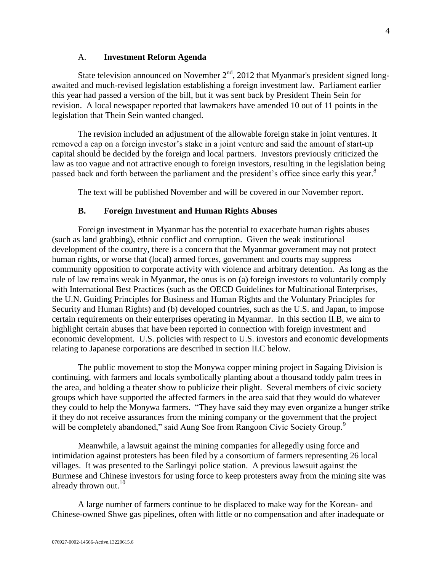### A. **Investment Reform Agenda**

<span id="page-3-0"></span>State television announced on November  $2<sup>nd</sup>$ , 2012 that Myanmar's president signed longawaited and much-revised legislation establishing a foreign investment law. Parliament earlier this year had passed a version of the bill, but it was sent back by President Thein Sein for revision. A local newspaper reported that lawmakers have amended 10 out of 11 points in the legislation that Thein Sein wanted changed.

The revision included an adjustment of the allowable foreign stake in joint ventures. It removed a cap on a foreign investor's stake in a joint venture and said the amount of start-up capital should be decided by the foreign and local partners. Investors previously criticized the law as too vague and not attractive enough to foreign investors, resulting in the legislation being passed back and forth between the parliament and the president's office since early this year.<sup>8</sup>

The text will be published November and will be covered in our November report.

#### **B. Foreign Investment and Human Rights Abuses**

<span id="page-3-1"></span>Foreign investment in Myanmar has the potential to exacerbate human rights abuses (such as land grabbing), ethnic conflict and corruption. Given the weak institutional development of the country, there is a concern that the Myanmar government may not protect human rights, or worse that (local) armed forces, government and courts may suppress community opposition to corporate activity with violence and arbitrary detention. As long as the rule of law remains weak in Myanmar, the onus is on (a) foreign investors to voluntarily comply with International Best Practices (such as the OECD Guidelines for Multinational Enterprises, the U.N. Guiding Principles for Business and Human Rights and the Voluntary Principles for Security and Human Rights) and (b) developed countries, such as the U.S. and Japan, to impose certain requirements on their enterprises operating in Myanmar. In this section II.B, we aim to highlight certain abuses that have been reported in connection with foreign investment and economic development. U.S. policies with respect to U.S. investors and economic developments relating to Japanese corporations are described in section II.C below.

The public movement to stop the Monywa copper mining project in Sagaing Division is continuing, with farmers and locals symbolically planting about a thousand toddy palm trees in the area, and holding a theater show to publicize their plight. Several members of civic society groups which have supported the affected farmers in the area said that they would do whatever they could to help the Monywa farmers. "They have said they may even organize a hunger strike if they do not receive assurances from the mining company or the government that the project will be completely abandoned," said Aung Soe from Rangoon Civic Society Group.<sup>9</sup>

Meanwhile, a lawsuit against the mining companies for allegedly using force and intimidation against protesters has been filed by a consortium of farmers representing 26 local villages. It was presented to the Sarlingyi police station. A previous lawsuit against the Burmese and Chinese investors for using force to keep protesters away from the mining site was already thrown out.<sup>10</sup>

A large number of farmers continue to be displaced to make way for the Korean- and Chinese-owned Shwe gas pipelines, often with little or no compensation and after inadequate or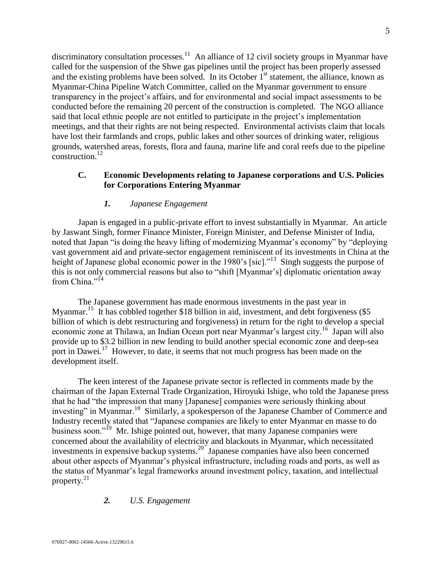discriminatory consultation processes.<sup>11</sup> An alliance of 12 civil society groups in Myanmar have called for the suspension of the Shwe gas pipelines until the project has been properly assessed and the existing problems have been solved. In its October  $1<sup>st</sup>$  statement, the alliance, known as Myanmar-China Pipeline Watch Committee, called on the Myanmar government to ensure transparency in the project's affairs, and for environmental and social impact assessments to be conducted before the remaining 20 percent of the construction is completed. The NGO alliance said that local ethnic people are not entitled to participate in the project's implementation meetings, and that their rights are not being respected. Environmental activists claim that locals have lost their farmlands and crops, public lakes and other sources of drinking water, religious grounds, watershed areas, forests, flora and fauna, marine life and coral reefs due to the pipeline  $construction<sup>12</sup>$ 

# <span id="page-4-0"></span>**C. Economic Developments relating to Japanese corporations and U.S. Policies for Corporations Entering Myanmar**

## *1. Japanese Engagement*

Japan is engaged in a public-private effort to invest substantially in Myanmar. An article by Jaswant Singh, former Finance Minister, Foreign Minister, and Defense Minister of India, noted that Japan "is doing the heavy lifting of modernizing Myanmar's economy" by "deploying vast government aid and private-sector engagement reminiscent of its investments in China at the height of Japanese global economic power in the 1980's [sic]."<sup>13</sup> Singh suggests the purpose of this is not only commercial reasons but also to "shift [Myanmar's] diplomatic orientation away from China."<sup>14</sup>

The Japanese government has made enormous investments in the past year in Myanmar.<sup>15</sup> It has cobbled together \$18 billion in aid, investment, and debt forgiveness (\$5 billion of which is debt restructuring and forgiveness) in return for the right to develop a special economic zone at Thilawa, an Indian Ocean port near Myanmar's largest city.<sup>16</sup> Japan will also provide up to \$3.2 billion in new lending to build another special economic zone and deep-sea port in Dawei.<sup>17</sup> However, to date, it seems that not much progress has been made on the development itself.

The keen interest of the Japanese private sector is reflected in comments made by the chairman of the Japan External Trade Organization, Hiroyuki Ishige, who told the Japanese press that he had "the impression that many [Japanese] companies were seriously thinking about investing" in Myanmar.<sup>18</sup> Similarly, a spokesperson of the Japanese Chamber of Commerce and Industry recently stated that "Japanese companies are likely to enter Myanmar en masse to do business soon."<sup>19</sup> Mr. Ishige pointed out, however, that many Japanese companies were concerned about the availability of electricity and blackouts in Myanmar, which necessitated investments in expensive backup systems. $20$  Japanese companies have also been concerned about other aspects of Myanmar's physical infrastructure, including roads and ports, as well as the status of Myanmar's legal frameworks around investment policy, taxation, and intellectual property. $21$ 

# *2. U.S. Engagement*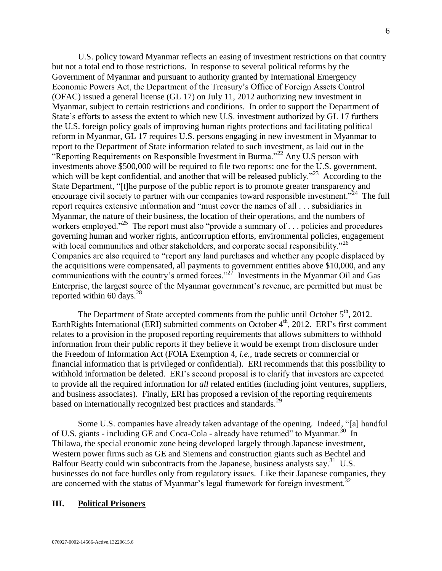U.S. policy toward Myanmar reflects an easing of investment restrictions on that country but not a total end to those restrictions. In response to several political reforms by the Government of Myanmar and pursuant to authority granted by International Emergency Economic Powers Act, the Department of the Treasury's Office of Foreign Assets Control (OFAC) issued a general license (GL 17) on July 11, 2012 authorizing new investment in Myanmar, subject to certain restrictions and conditions. In order to support the Department of State's efforts to assess the extent to which new U.S. investment authorized by GL 17 furthers the U.S. foreign policy goals of improving human rights protections and facilitating political reform in Myanmar, GL 17 requires U.S. persons engaging in new investment in Myanmar to report to the Department of State information related to such investment, as laid out in the "Reporting Requirements on Responsible Investment in Burma."<sup>22</sup> Any U.S person with investments above \$500,000 will be required to file two reports: one for the U.S. government, which will be kept confidential, and another that will be released publicly."<sup>23</sup> According to the State Department, "[t]he purpose of the public report is to promote greater transparency and encourage civil society to partner with our companies toward responsible investment."<sup>24</sup> The full report requires extensive information and "must cover the names of all . . . subsidiaries in Myanmar, the nature of their business, the location of their operations, and the numbers of workers employed."<sup>25</sup> The report must also "provide a summary of . . . policies and procedures governing human and worker rights, anticorruption efforts, environmental policies, engagement with local communities and other stakeholders, and corporate social responsibility."<sup>26</sup> Companies are also required to "report any land purchases and whether any people displaced by the acquisitions were compensated, all payments to government entities above \$10,000, and any communications with the country's armed forces."<sup>27</sup> Investments in the Myanmar Oil and Gas Enterprise, the largest source of the Myanmar government's revenue, are permitted but must be reported within 60 days.  $28$ 

The Department of State accepted comments from the public until October  $5<sup>th</sup>$ , 2012. EarthRights International (ERI) submitted comments on October 4<sup>th</sup>, 2012. ERI's first comment relates to a provision in the proposed reporting requirements that allows submitters to withhold information from their public reports if they believe it would be exempt from disclosure under the Freedom of Information Act (FOIA Exemption 4, *i.e.*, trade secrets or commercial or financial information that is privileged or confidential). ERI recommends that this possibility to withhold information be deleted. ERI's second proposal is to clarify that investors are expected to provide all the required information for *all* related entities (including joint ventures, suppliers, and business associates). Finally, ERI has proposed a revision of the reporting requirements based on internationally recognized best practices and standards.<sup>29</sup>

Some U.S. companies have already taken advantage of the opening. Indeed, "[a] handful of U.S. giants - including GE and Coca-Cola - already have returned" to Myanmar.<sup>30</sup> In Thilawa, the special economic zone being developed largely through Japanese investment, Western power firms such as GE and Siemens and construction giants such as Bechtel and Balfour Beatty could win subcontracts from the Japanese, business analysts say.<sup>31</sup> U.S. businesses do not face hurdles only from regulatory issues. Like their Japanese companies, they are concerned with the status of Myanmar's legal framework for foreign investment.<sup>32</sup>

### <span id="page-5-0"></span>**III. Political Prisoners**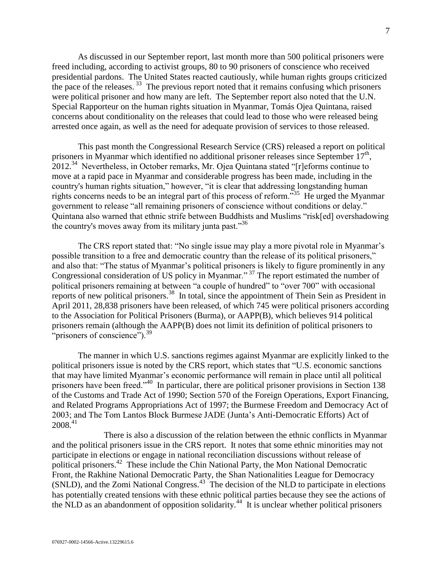As discussed in our September report, last month more than 500 political prisoners were freed including, according to activist groups, 80 to 90 prisoners of conscience who received presidential pardons. The United States reacted cautiously, while human rights groups criticized the pace of the releases.  $33$  The previous report noted that it remains confusing which prisoners were political prisoner and how many are left. The September report also noted that the U.N. Special Rapporteur on the human rights situation in Myanmar, Tomás Ojea Quintana, raised concerns about conditionality on the releases that could lead to those who were released being arrested once again, as well as the need for adequate provision of services to those released.

This past month the Congressional Research Service (CRS) released a report on political prisoners in Myanmar which identified no additional prisoner releases since September  $17<sup>th</sup>$ ,  $2012.^{34}$  Nevertheless, in October remarks, Mr. Ojea Quintana stated "[r] eforms continue to move at a rapid pace in Myanmar and considerable progress has been made, including in the country's human rights situation," however, "it is clear that addressing longstanding human rights concerns needs to be an integral part of this process of reform."<sup>35</sup> He urged the Myanmar government to release "all remaining prisoners of conscience without conditions or delay." Quintana also warned that ethnic strife between Buddhists and Muslims "risk[ed] overshadowing the country's moves away from its military junta past.<sup>356</sup>

The CRS report stated that: "No single issue may play a more pivotal role in Myanmar's possible transition to a free and democratic country than the release of its political prisoners," and also that: "The status of Myanmar's political prisoners is likely to figure prominently in any Congressional consideration of US policy in Myanmar." <sup>37</sup> The report estimated the number of political prisoners remaining at between "a couple of hundred" to "over 700" with occasional reports of new political prisoners.<sup>38</sup> In total, since the appointment of Thein Sein as President in April 2011, 28,838 prisoners have been released, of which 745 were political prisoners according to the Association for Political Prisoners (Burma), or AAPP(B), which believes 914 political prisoners remain (although the AAPP(B) does not limit its definition of political prisoners to "prisoners of conscience").<sup>39</sup>

The manner in which U.S. sanctions regimes against Myanmar are explicitly linked to the political prisoners issue is noted by the CRS report, which states that "U.S. economic sanctions that may have limited Myanmar's economic performance will remain in place until all political prisoners have been freed."<sup>40</sup> In particular, there are political prisoner provisions in Section 138 of the Customs and Trade Act of 1990; Section 570 of the Foreign Operations, Export Financing, and Related Programs Appropriations Act of 1997; the Burmese Freedom and Democracy Act of 2003; and The Tom Lantos Block Burmese JADE (Junta's Anti-Democratic Efforts) Act of  $2008.<sup>41</sup>$ 

There is also a discussion of the relation between the ethnic conflicts in Myanmar and the political prisoners issue in the CRS report. It notes that some ethnic minorities may not participate in elections or engage in national reconciliation discussions without release of political prisoners.<sup>42</sup> These include the Chin National Party, the Mon National Democratic Front, the Rakhine National Democratic Party, the Shan Nationalities League for Democracy (SNLD), and the Zomi National Congress.<sup>43</sup> The decision of the NLD to participate in elections has potentially created tensions with these ethnic political parties because they see the actions of the NLD as an abandonment of opposition solidarity.<sup>44</sup> It is unclear whether political prisoners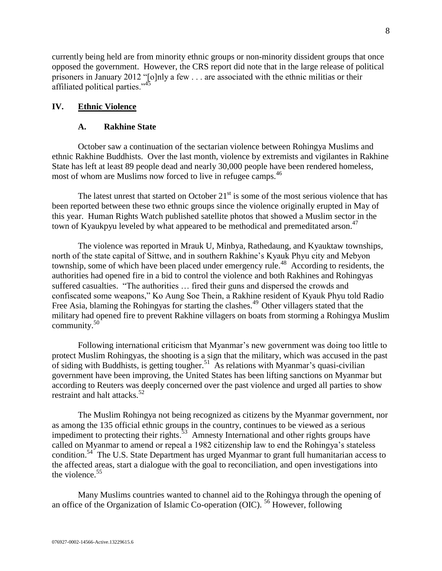currently being held are from minority ethnic groups or non-minority dissident groups that once opposed the government. However, the CRS report did note that in the large release of political prisoners in January 2012 "[o]nly a few . . . are associated with the ethnic militias or their affiliated political parties."<sup>45</sup>

## <span id="page-7-1"></span><span id="page-7-0"></span>**IV. Ethnic Violence**

#### **A. Rakhine State**

October saw a continuation of the sectarian violence between Rohingya Muslims and ethnic Rakhine Buddhists. Over the last month, violence by extremists and vigilantes in Rakhine State has left at least 89 people dead and nearly 30,000 people have been rendered homeless, most of whom are Muslims now forced to live in refugee camps.<sup>46</sup>

The latest unrest that started on October  $21<sup>st</sup>$  is some of the most serious violence that has been reported between these two ethnic groups since the violence originally erupted in May of this year. Human Rights Watch published satellite photos that showed a Muslim sector in the town of Kyaukpyu leveled by what appeared to be methodical and premeditated arson.<sup>47</sup>

The violence was reported in Mrauk U, Minbya, Rathedaung, and Kyauktaw townships, north of the state capital of Sittwe, and in southern Rakhine's Kyauk Phyu city and Mebyon township, some of which have been placed under emergency rule.<sup>48</sup> According to residents, the authorities had opened fire in a bid to control the violence and both Rakhines and Rohingyas suffered casualties. "The authorities … fired their guns and dispersed the crowds and confiscated some weapons," Ko Aung Soe Thein, a Rakhine resident of Kyauk Phyu told Radio Free Asia, blaming the Rohingyas for starting the clashes.<sup>49</sup> Other villagers stated that the military had opened fire to prevent Rakhine villagers on boats from storming a Rohingya Muslim community.<sup>50</sup>

Following international criticism that Myanmar's new government was doing too little to protect Muslim Rohingyas, the shooting is a sign that the military, which was accused in the past of siding with Buddhists, is getting tougher.<sup>51</sup> As relations with Myanmar's quasi-civilian government have been improving, the United States has been lifting sanctions on Myanmar but according to Reuters was deeply concerned over the past violence and urged all parties to show restraint and halt attacks.<sup>52</sup>

The Muslim Rohingya not being recognized as citizens by the Myanmar government, nor as among the 135 official ethnic groups in the country, continues to be viewed as a serious impediment to protecting their rights.<sup>53</sup> Amnesty International and other rights groups have called on Myanmar to amend or repeal a 1982 citizenship law to end the Rohingya's stateless condition.<sup>54</sup> The U.S. State Department has urged Myanmar to grant full humanitarian access to the affected areas, start a dialogue with the goal to reconciliation, and open investigations into the violence. $55$ 

Many Muslims countries wanted to channel aid to the Rohingya through the opening of an office of the Organization of Islamic Co-operation (OIC).  $56$  However, following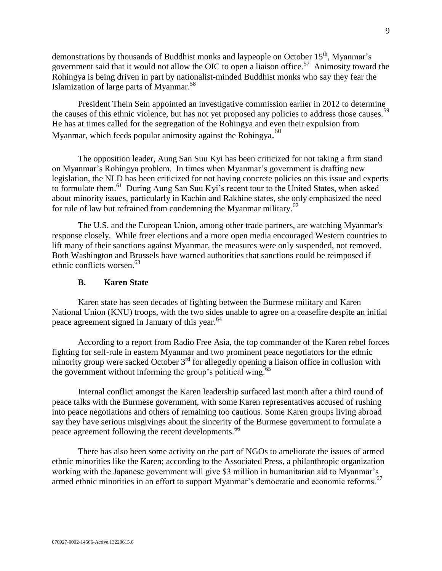demonstrations by thousands of Buddhist monks and laypeople on October 15<sup>th</sup>, Myanmar's government said that it would not allow the OIC to open a liaison office.<sup>57</sup> Animosity toward the Rohingya is being driven in part by nationalist-minded Buddhist monks who say they fear the Islamization of large parts of Myanmar.<sup>58</sup>

President Thein Sein appointed an investigative commission earlier in 2012 to determine the causes of this ethnic violence, but has not yet proposed any policies to address those causes.<sup>59</sup> He has at times called for the segregation of the Rohingya and even their expulsion from Myanmar, which feeds popular animosity against the Rohingya.<sup>60</sup>

The opposition leader, Aung San Suu Kyi has been criticized for not taking a firm stand on Myanmar's Rohingya problem. In times when Myanmar's government is drafting new legislation, the NLD has been criticized for not having concrete policies on this issue and experts to formulate them.<sup>61</sup> During Aung San Suu Kyi's recent tour to the United States, when asked about minority issues, particularly in Kachin and Rakhine states, she only emphasized the need for rule of law but refrained from condemning the Myanmar military. $62$ 

The U.S. and the European Union, among other trade partners, are watching Myanmar's response closely. While freer elections and a more open media encouraged Western countries to lift many of their sanctions against Myanmar, the measures were only suspended, not removed. Both Washington and Brussels have warned authorities that sanctions could be reimposed if ethnic conflicts worsen.<sup>63</sup>

#### **B. Karen State**

<span id="page-8-0"></span>Karen state has seen decades of fighting between the Burmese military and Karen National Union (KNU) troops, with the two sides unable to agree on a ceasefire despite an initial peace agreement signed in January of this year.<sup>64</sup>

According to a report from Radio Free Asia, the top commander of the Karen rebel forces fighting for self-rule in eastern Myanmar and two prominent peace negotiators for the ethnic minority group were sacked October  $3<sup>rd</sup>$  for allegedly opening a liaison office in collusion with the government without informing the group's political wing. $^{65}$ 

Internal conflict amongst the Karen leadership surfaced last month after a third round of peace talks with the Burmese government, with some Karen representatives accused of rushing into peace negotiations and others of remaining too cautious. Some Karen groups living abroad say they have serious misgivings about the sincerity of the Burmese government to formulate a peace agreement following the recent developments.<sup>66</sup>

There has also been some activity on the part of NGOs to ameliorate the issues of armed ethnic minorities like the Karen; according to the Associated Press, a philanthropic organization working with the Japanese government will give \$3 million in humanitarian aid to Myanmar's armed ethnic minorities in an effort to support Myanmar's democratic and economic reforms.<sup>67</sup>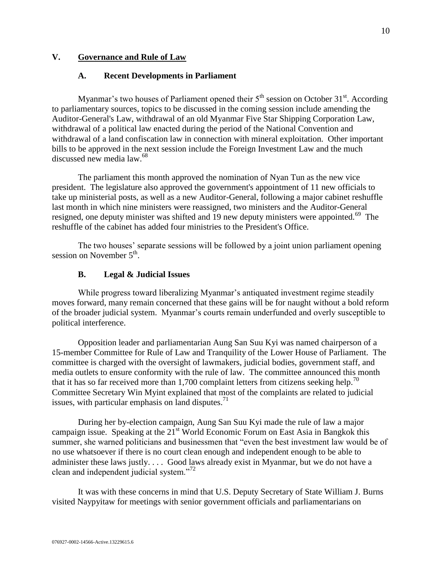# <span id="page-9-1"></span><span id="page-9-0"></span>**V. Governance and Rule of Law**

# **A. Recent Developments in Parliament**

Myanmar's two houses of Parliament opened their  $5<sup>th</sup>$  session on October 31 $<sup>st</sup>$ . According</sup> to parliamentary sources, topics to be discussed in the coming session include amending the Auditor-General's Law, withdrawal of an old Myanmar Five Star Shipping Corporation Law, withdrawal of a political law enacted during the period of the National Convention and withdrawal of a land confiscation law in connection with mineral exploitation. Other important bills to be approved in the next session include the Foreign Investment Law and the much discussed new media law.<sup>68</sup>

The parliament this month approved the nomination of Nyan Tun as the new vice president. The legislature also approved the government's appointment of 11 new officials to take up ministerial posts, as well as a new Auditor-General, following a major cabinet reshuffle last month in which nine ministers were reassigned, two ministers and the Auditor-General resigned, one deputy minister was shifted and 19 new deputy ministers were appointed.<sup>69</sup> The reshuffle of the cabinet has added four ministries to the President's Office.

The two houses' separate sessions will be followed by a joint union parliament opening session on November  $5^{\text{th}}$ .

# **B. Legal & Judicial Issues**

<span id="page-9-2"></span>While progress toward liberalizing Myanmar's antiquated investment regime steadily moves forward, many remain concerned that these gains will be for naught without a bold reform of the broader judicial system. Myanmar's courts remain underfunded and overly susceptible to political interference.

Opposition leader and parliamentarian Aung San Suu Kyi was named chairperson of a 15-member Committee for Rule of Law and Tranquility of the Lower House of Parliament. The committee is charged with the oversight of lawmakers, judicial bodies, government staff, and media outlets to ensure conformity with the rule of law. The committee announced this month that it has so far received more than 1,700 complaint letters from citizens seeking help.<sup>70</sup> Committee Secretary Win Myint explained that most of the complaints are related to judicial issues, with particular emphasis on land disputes.<sup>71</sup>

During her by-election campaign, Aung San Suu Kyi made the rule of law a major campaign issue. Speaking at the  $21^{st}$  World Economic Forum on East Asia in Bangkok this summer, she warned politicians and businessmen that "even the best investment law would be of no use whatsoever if there is no court clean enough and independent enough to be able to administer these laws justly. . . . Good laws already exist in Myanmar, but we do not have a clean and independent judicial system."<sup>72</sup>

It was with these concerns in mind that U.S. Deputy Secretary of State William J. Burns visited Naypyitaw for meetings with senior government officials and parliamentarians on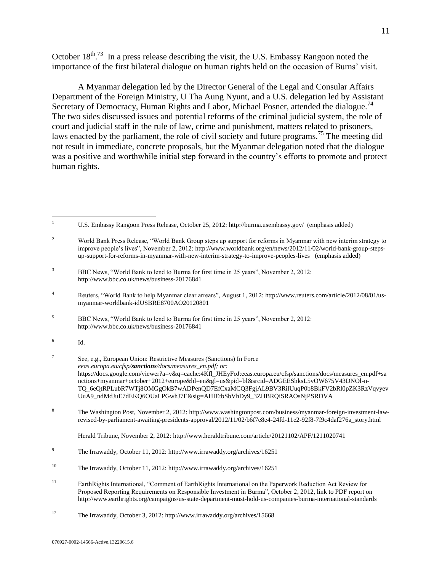October  $18^{\text{th}}$ .<sup>73</sup> In a press release describing the visit, the U.S. Embassy Rangoon noted the importance of the first bilateral dialogue on human rights held on the occasion of Burns' visit.

A Myanmar delegation led by the Director General of the Legal and Consular Affairs Department of the Foreign Ministry, U Tha Aung Nyunt, and a U.S. delegation led by Assistant Secretary of Democracy, Human Rights and Labor, Michael Posner, attended the dialogue.<sup>74</sup> The two sides discussed issues and potential reforms of the criminal judicial system, the role of court and judicial staff in the rule of law, crime and punishment, matters related to prisoners, laws enacted by the parliament, the role of civil society and future programs.<sup>75</sup> The meeting did not result in immediate, concrete proposals, but the Myanmar delegation noted that the dialogue was a positive and worthwhile initial step forward in the country's efforts to promote and protect human rights.

- <sup>4</sup> Reuters, "World Bank to help Myanmar clear arrears", August 1, 2012[: http://www.reuters.com/article/2012/08/01/us](http://www.reuters.com/article/2012/08/01/us-myanmar-worldbank-idUSBRE8700AO20120801)[myanmar-worldbank-idUSBRE8700AO20120801](http://www.reuters.com/article/2012/08/01/us-myanmar-worldbank-idUSBRE8700AO20120801)
- <sup>5</sup> BBC News, "World Bank to lend to Burma for first time in 25 years", November 2, 2012: <http://www.bbc.co.uk/news/business-20176841>

 $\mathbf{1}$ <sup>1</sup> U.S. Embassy Rangoon Press Release, October 25, 2012:<http://burma.usembassy.gov/>(emphasis added)

<sup>&</sup>lt;sup>2</sup> World Bank Press Release, "World Bank Group steps up support for reforms in Myanmar with new interim strategy to improve people's lives", November 2, 2012[: http://www.worldbank.org/en/news/2012/11/02/world-bank-group-steps](http://www.worldbank.org/en/news/2012/11/02/world-bank-group-steps-up-support-for-reforms-in-myanmar-with-new-interim-strategy-to-improve-peoples-lives)[up-support-for-reforms-in-myanmar-with-new-interim-strategy-to-improve-peoples-lives](http://www.worldbank.org/en/news/2012/11/02/world-bank-group-steps-up-support-for-reforms-in-myanmar-with-new-interim-strategy-to-improve-peoples-lives) (emphasis added)

<sup>&</sup>lt;sup>3</sup> BBC News, "World Bank to lend to Burma for first time in 25 years", November 2, 2012: <http://www.bbc.co.uk/news/business-20176841>

<sup>6</sup> Id.

<sup>7</sup> See, e.g., European Union: Restrictive Measures (Sanctions) In Force *eeas.europa.eu/cfsp/sanctions/docs/measures\_en.pdf; or:*  [https://docs.google.com/viewer?a=v&q=cache:4Kfl\\_JHEyFoJ:eeas.europa.eu/cfsp/sanctions/docs/measures\\_en.pdf+sa](https://docs.google.com/viewer?a=v&q=cache:4Kfl_JHEyFoJ:eeas.europa.eu/cfsp/sanctions/docs/measures_en.pdf+sanctions+myanmar+october+2012+europe&hl=en&gl=us&pid=bl&srcid=ADGEEShksL5vOW675V43DNOl-n-TQ_6eQtRPLubR7WTj8OMGgOkB7wADPenQD7EfCxaMCQ3FgjAL9BV3RilUuqP0b8BkFV2bRl0pZK3RzVqvyevUuA9_ndMdJuE7dEKQ6OUaLPGwhJ7E&sig=AHIEtbSbVhDy9_3ZHBRQiSRAOsNjPSRDVA) [nctions+myanmar+october+2012+europe&hl=en&gl=us&pid=bl&srcid=ADGEEShksL5vOW675V43DNOl-n-](https://docs.google.com/viewer?a=v&q=cache:4Kfl_JHEyFoJ:eeas.europa.eu/cfsp/sanctions/docs/measures_en.pdf+sanctions+myanmar+october+2012+europe&hl=en&gl=us&pid=bl&srcid=ADGEEShksL5vOW675V43DNOl-n-TQ_6eQtRPLubR7WTj8OMGgOkB7wADPenQD7EfCxaMCQ3FgjAL9BV3RilUuqP0b8BkFV2bRl0pZK3RzVqvyevUuA9_ndMdJuE7dEKQ6OUaLPGwhJ7E&sig=AHIEtbSbVhDy9_3ZHBRQiSRAOsNjPSRDVA)[TQ\\_6eQtRPLubR7WTj8OMGgOkB7wADPenQD7EfCxaMCQ3FgjAL9BV3RilUuqP0b8BkFV2bRl0pZK3RzVqvyev](https://docs.google.com/viewer?a=v&q=cache:4Kfl_JHEyFoJ:eeas.europa.eu/cfsp/sanctions/docs/measures_en.pdf+sanctions+myanmar+october+2012+europe&hl=en&gl=us&pid=bl&srcid=ADGEEShksL5vOW675V43DNOl-n-TQ_6eQtRPLubR7WTj8OMGgOkB7wADPenQD7EfCxaMCQ3FgjAL9BV3RilUuqP0b8BkFV2bRl0pZK3RzVqvyevUuA9_ndMdJuE7dEKQ6OUaLPGwhJ7E&sig=AHIEtbSbVhDy9_3ZHBRQiSRAOsNjPSRDVA) [UuA9\\_ndMdJuE7dEKQ6OUaLPGwhJ7E&sig=AHIEtbSbVhDy9\\_3ZHBRQiSRAOsNjPSRDVA](https://docs.google.com/viewer?a=v&q=cache:4Kfl_JHEyFoJ:eeas.europa.eu/cfsp/sanctions/docs/measures_en.pdf+sanctions+myanmar+october+2012+europe&hl=en&gl=us&pid=bl&srcid=ADGEEShksL5vOW675V43DNOl-n-TQ_6eQtRPLubR7WTj8OMGgOkB7wADPenQD7EfCxaMCQ3FgjAL9BV3RilUuqP0b8BkFV2bRl0pZK3RzVqvyevUuA9_ndMdJuE7dEKQ6OUaLPGwhJ7E&sig=AHIEtbSbVhDy9_3ZHBRQiSRAOsNjPSRDVA)

<sup>8</sup> The Washington Post, November 2, 2012: [http://www.washingtonpost.com/business/myanmar-foreign-investment-law](http://www.washingtonpost.com/business/myanmar-foreign-investment-law-revised-by-parliament-awaiting-presidents-approval/2012/11/02/b6f7e8e4-24fd-11e2-92f8-7f9c4daf276a_story.html)[revised-by-parliament-awaiting-presidents-approval/2012/11/02/b6f7e8e4-24fd-11e2-92f8-7f9c4daf276a\\_story.html](http://www.washingtonpost.com/business/myanmar-foreign-investment-law-revised-by-parliament-awaiting-presidents-approval/2012/11/02/b6f7e8e4-24fd-11e2-92f8-7f9c4daf276a_story.html)

Herald Tribune, November 2, 2012[: http://www.heraldtribune.com/article/20121102/APF/1211020741](http://www.heraldtribune.com/article/20121102/APF/1211020741)

<sup>9</sup> The Irrawaddy, October 11, 2012:<http://www.irrawaddy.org/archives/16251>

<sup>10</sup> The Irrawaddy, October 11, 2012:<http://www.irrawaddy.org/archives/16251>

<sup>11</sup> EarthRights International, "Comment of EarthRights International on the Paperwork Reduction Act Review for Proposed Reporting Requirements on Responsible Investment in Burma", October 2, 2012, link to PDF report on <http://www.earthrights.org/campaigns/us-state-department-must-hold-us-companies-burma-international-standards>

<sup>12</sup> The Irrawaddy, October 3, 2012[: http://www.irrawaddy.org/archives/15668](http://www.irrawaddy.org/archives/15668)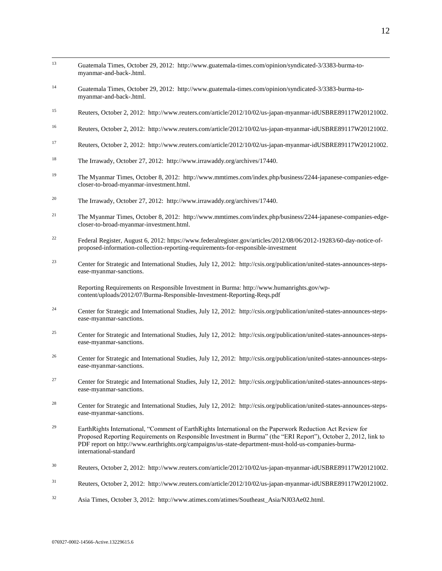- $13$ <sup>13</sup> Guatemala Times, October 29, 2012: [http://www.guatemala-times.com/opinion/syndicated-3/3383-burma-to](http://www.guatemala-times.com/opinion/syndicated-3/3383-burma-to-myanmar-and-back-.html)[myanmar-and-back-.html.](http://www.guatemala-times.com/opinion/syndicated-3/3383-burma-to-myanmar-and-back-.html)
- <sup>14</sup> Guatemala Times, October 29, 2012: [http://www.guatemala-times.com/opinion/syndicated-3/3383-burma-to](http://www.guatemala-times.com/opinion/syndicated-3/3383-burma-to-myanmar-and-back-.html)[myanmar-and-back-.html.](http://www.guatemala-times.com/opinion/syndicated-3/3383-burma-to-myanmar-and-back-.html)
- <sup>15</sup> Reuters, October 2, 2012: [http://www.reuters.com/article/2012/10/02/us-japan-myanmar-idUSBRE89117W20121002.](http://www.reuters.com/article/2012/10/02/us-japan-myanmar-idUSBRE89117W20121002)
- <sup>16</sup> Reuters, October 2, 2012: [http://www.reuters.com/article/2012/10/02/us-japan-myanmar-idUSBRE89117W20121002.](http://www.reuters.com/article/2012/10/02/us-japan-myanmar-idUSBRE89117W20121002)
- <sup>17</sup> Reuters, October 2, 2012: [http://www.reuters.com/article/2012/10/02/us-japan-myanmar-idUSBRE89117W20121002.](http://www.reuters.com/article/2012/10/02/us-japan-myanmar-idUSBRE89117W20121002)
- <sup>18</sup> The Irrawady, October 27, 2012: [http://www.irrawaddy.org/archives/17440.](http://www.irrawaddy.org/archives/17440)
- <sup>19</sup> The Myanmar Times, October 8, 2012: [http://www.mmtimes.com/index.php/business/2244-japanese-companies-edge](http://www.mmtimes.com/index.php/business/2244-japanese-companies-edge-closer-to-broad-myanmar-investment.html)[closer-to-broad-myanmar-investment.html.](http://www.mmtimes.com/index.php/business/2244-japanese-companies-edge-closer-to-broad-myanmar-investment.html)
- <sup>20</sup> The Irrawady, October 27, 2012: [http://www.irrawaddy.org/archives/17440.](http://www.irrawaddy.org/archives/17440)
- <sup>21</sup> The Myanmar Times, October 8, 2012: [http://www.mmtimes.com/index.php/business/2244-japanese-companies-edge](http://www.mmtimes.com/index.php/business/2244-japanese-companies-edge-closer-to-broad-myanmar-investment.html)[closer-to-broad-myanmar-investment.html.](http://www.mmtimes.com/index.php/business/2244-japanese-companies-edge-closer-to-broad-myanmar-investment.html)
- <sup>22</sup> Federal Register, August 6, 2012[: https://www.federalregister.gov/articles/2012/08/06/2012-19283/60-day-notice-of](https://www.federalregister.gov/articles/2012/08/06/2012-19283/60-day-notice-of-proposed-information-collection-reporting-requirements-for-responsible-investment)[proposed-information-collection-reporting-requirements-for-responsible-investment](https://www.federalregister.gov/articles/2012/08/06/2012-19283/60-day-notice-of-proposed-information-collection-reporting-requirements-for-responsible-investment)
- <sup>23</sup> Center for Strategic and International Studies, July 12, 2012: [http://csis.org/publication/united-states-announces-steps](http://csis.org/publication/united-states-announces-steps-ease-myanmar-sanctions)[ease-myanmar-sanctions.](http://csis.org/publication/united-states-announces-steps-ease-myanmar-sanctions)

Reporting Requirements on Responsible Investment in Burma[: http://www.humanrights.gov/wp](http://www.humanrights.gov/wp-content/uploads/2012/07/Burma-Responsible-Investment-Reporting-Reqs.pdf)[content/uploads/2012/07/Burma-Responsible-Investment-Reporting-Reqs.pdf](http://www.humanrights.gov/wp-content/uploads/2012/07/Burma-Responsible-Investment-Reporting-Reqs.pdf)

- <sup>24</sup> Center for Strategic and International Studies, July 12, 2012: [http://csis.org/publication/united-states-announces-steps](http://csis.org/publication/united-states-announces-steps-ease-myanmar-sanctions)[ease-myanmar-sanctions.](http://csis.org/publication/united-states-announces-steps-ease-myanmar-sanctions)
- <sup>25</sup> Center for Strategic and International Studies, July 12, 2012: [http://csis.org/publication/united-states-announces-steps](http://csis.org/publication/united-states-announces-steps-ease-myanmar-sanctions)[ease-myanmar-sanctions.](http://csis.org/publication/united-states-announces-steps-ease-myanmar-sanctions)
- <sup>26</sup> Center for Strategic and International Studies, July 12, 2012: [http://csis.org/publication/united-states-announces-steps](http://csis.org/publication/united-states-announces-steps-ease-myanmar-sanctions)[ease-myanmar-sanctions.](http://csis.org/publication/united-states-announces-steps-ease-myanmar-sanctions)
- <sup>27</sup> Center for Strategic and International Studies, July 12, 2012: [http://csis.org/publication/united-states-announces-steps](http://csis.org/publication/united-states-announces-steps-ease-myanmar-sanctions)[ease-myanmar-sanctions.](http://csis.org/publication/united-states-announces-steps-ease-myanmar-sanctions)
- <sup>28</sup> Center for Strategic and International Studies, July 12, 2012: [http://csis.org/publication/united-states-announces-steps](http://csis.org/publication/united-states-announces-steps-ease-myanmar-sanctions)[ease-myanmar-sanctions.](http://csis.org/publication/united-states-announces-steps-ease-myanmar-sanctions)
- <sup>29</sup> EarthRights International, "Comment of EarthRights International on the Paperwork Reduction Act Review for Proposed Reporting Requirements on Responsible Investment in Burma" (the "ERI Report"), October 2, 2012, link to PDF report on [http://www.earthrights.org/campaigns/us-state-department-must-hold-us-companies-burma](http://www.earthrights.org/campaigns/us-state-department-must-hold-us-companies-burma-international-standard)[international-standard](http://www.earthrights.org/campaigns/us-state-department-must-hold-us-companies-burma-international-standard)
- <sup>30</sup> Reuters, October 2, 2012: [http://www.reuters.com/article/2012/10/02/us-japan-myanmar-idUSBRE89117W20121002.](http://www.reuters.com/article/2012/10/02/us-japan-myanmar-idUSBRE89117W20121002)
- <sup>31</sup> Reuters, October 2, 2012: [http://www.reuters.com/article/2012/10/02/us-japan-myanmar-idUSBRE89117W20121002.](http://www.reuters.com/article/2012/10/02/us-japan-myanmar-idUSBRE89117W20121002)
- <sup>32</sup> Asia Times, October 3, 2012: [http://www.atimes.com/atimes/Southeast\\_Asia/NJ03Ae02.html.](http://www.atimes.com/atimes/Southeast_Asia/NJ03Ae02.html)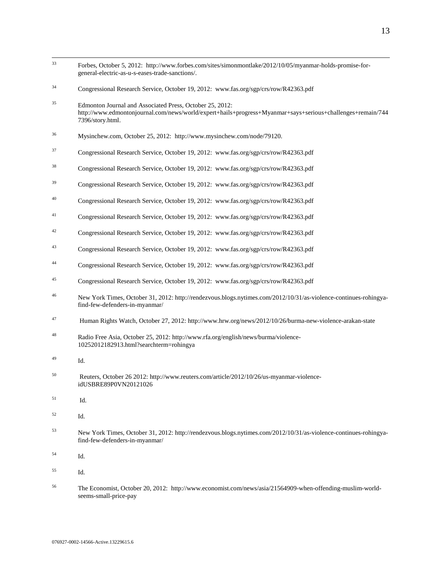| 33 | Forbes, October 5, 2012: http://www.forbes.com/sites/simonmontlake/2012/10/05/myanmar-holds-promise-for-<br>general-electric-as-u-s-eases-trade-sanctions/.                                |
|----|--------------------------------------------------------------------------------------------------------------------------------------------------------------------------------------------|
| 34 | Congressional Research Service, October 19, 2012: www.fas.org/sgp/crs/row/R42363.pdf                                                                                                       |
| 35 | Edmonton Journal and Associated Press, October 25, 2012:<br>http://www.edmontonjournal.com/news/world/expert+hails+progress+Myanmar+says+serious+challenges+remain/744<br>7396/story.html. |
| 36 | Mysinchew.com, October 25, 2012: http://www.mysinchew.com/node/79120.                                                                                                                      |
| 37 | Congressional Research Service, October 19, 2012: www.fas.org/sgp/crs/row/R42363.pdf                                                                                                       |
| 38 | Congressional Research Service, October 19, 2012: www.fas.org/sgp/crs/row/R42363.pdf                                                                                                       |
| 39 | Congressional Research Service, October 19, 2012: www.fas.org/sgp/crs/row/R42363.pdf                                                                                                       |
| 40 | Congressional Research Service, October 19, 2012: www.fas.org/sgp/crs/row/R42363.pdf                                                                                                       |
| 41 | Congressional Research Service, October 19, 2012: www.fas.org/sgp/crs/row/R42363.pdf                                                                                                       |
| 42 | Congressional Research Service, October 19, 2012: www.fas.org/sgp/crs/row/R42363.pdf                                                                                                       |
| 43 | Congressional Research Service, October 19, 2012: www.fas.org/sgp/crs/row/R42363.pdf                                                                                                       |
| 44 | Congressional Research Service, October 19, 2012: www.fas.org/sgp/crs/row/R42363.pdf                                                                                                       |
| 45 | Congressional Research Service, October 19, 2012: www.fas.org/sgp/crs/row/R42363.pdf                                                                                                       |
| 46 | New York Times, October 31, 2012: http://rendezvous.blogs.nytimes.com/2012/10/31/as-violence-continues-rohingya-<br>find-few-defenders-in-myanmar/                                         |
| 47 | Human Rights Watch, October 27, 2012: http://www.hrw.org/news/2012/10/26/burma-new-violence-arakan-state                                                                                   |
| 48 | Radio Free Asia, October 25, 2012: http://www.rfa.org/english/news/burma/violence-<br>10252012182913.html?searchterm=rohingya                                                              |
| 49 | Id.                                                                                                                                                                                        |
| 50 | Reuters, October 26 2012: http://www.reuters.com/article/2012/10/26/us-myanmar-violence-<br>idUSBRE89P0VN20121026                                                                          |
| 51 | Id.                                                                                                                                                                                        |
| 52 | Id.                                                                                                                                                                                        |
| 53 | New York Times, October 31, 2012: http://rendezvous.blogs.nytimes.com/2012/10/31/as-violence-continues-rohingya-<br>find-few-defenders-in-myanmar/                                         |
| 54 | Id.                                                                                                                                                                                        |
| 55 | Id.                                                                                                                                                                                        |

<sup>56</sup> The Economist, October 20, 2012: http://www.economist.com/news/asia/21564909-when-offending-muslim-worldseems-small-price-pay